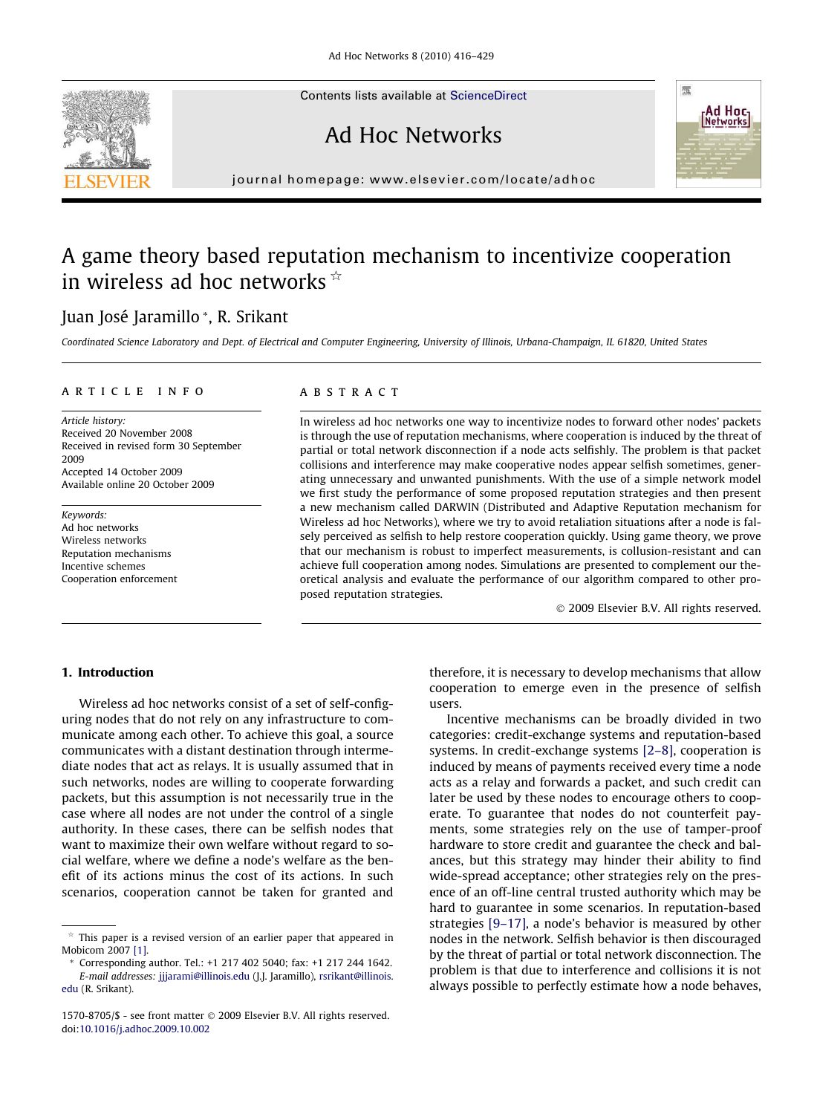Contents lists available at [ScienceDirect](http://www.sciencedirect.com/science/journal/15708705)



Ad Hoc Networks



journal homepage: [www.elsevier.com/locate/adhoc](http://www.elsevier.com/locate/adhoc)

## A game theory based reputation mechanism to incentivize cooperation in wireless ad hoc networks  $\hat{z}$

## Juan José Jaramillo \*, R. Srikant

Coordinated Science Laboratory and Dept. of Electrical and Computer Engineering, University of Illinois, Urbana-Champaign, IL 61820, United States

#### article info

Article history: Received 20 November 2008 Received in revised form 30 September 2009 Accepted 14 October 2009 Available online 20 October 2009

Keywords: Ad hoc networks Wireless networks Reputation mechanisms Incentive schemes Cooperation enforcement

## **ABSTRACT**

In wireless ad hoc networks one way to incentivize nodes to forward other nodes' packets is through the use of reputation mechanisms, where cooperation is induced by the threat of partial or total network disconnection if a node acts selfishly. The problem is that packet collisions and interference may make cooperative nodes appear selfish sometimes, generating unnecessary and unwanted punishments. With the use of a simple network model we first study the performance of some proposed reputation strategies and then present a new mechanism called DARWIN (Distributed and Adaptive Reputation mechanism for Wireless ad hoc Networks), where we try to avoid retaliation situations after a node is falsely perceived as selfish to help restore cooperation quickly. Using game theory, we prove that our mechanism is robust to imperfect measurements, is collusion-resistant and can achieve full cooperation among nodes. Simulations are presented to complement our theoretical analysis and evaluate the performance of our algorithm compared to other proposed reputation strategies.

- 2009 Elsevier B.V. All rights reserved.

## 1. Introduction

Wireless ad hoc networks consist of a set of self-configuring nodes that do not rely on any infrastructure to communicate among each other. To achieve this goal, a source communicates with a distant destination through intermediate nodes that act as relays. It is usually assumed that in such networks, nodes are willing to cooperate forwarding packets, but this assumption is not necessarily true in the case where all nodes are not under the control of a single authority. In these cases, there can be selfish nodes that want to maximize their own welfare without regard to social welfare, where we define a node's welfare as the benefit of its actions minus the cost of its actions. In such scenarios, cooperation cannot be taken for granted and

therefore, it is necessary to develop mechanisms that allow cooperation to emerge even in the presence of selfish users.

Incentive mechanisms can be broadly divided in two categories: credit-exchange systems and reputation-based systems. In credit-exchange systems [\[2–8\],](#page--1-0) cooperation is induced by means of payments received every time a node acts as a relay and forwards a packet, and such credit can later be used by these nodes to encourage others to cooperate. To guarantee that nodes do not counterfeit payments, some strategies rely on the use of tamper-proof hardware to store credit and guarantee the check and balances, but this strategy may hinder their ability to find wide-spread acceptance; other strategies rely on the presence of an off-line central trusted authority which may be hard to guarantee in some scenarios. In reputation-based strategies [\[9–17\],](#page--1-0) a node's behavior is measured by other nodes in the network. Selfish behavior is then discouraged by the threat of partial or total network disconnection. The problem is that due to interference and collisions it is not always possible to perfectly estimate how a node behaves,

 $*$  This paper is a revised version of an earlier paper that appeared in Mobicom 2007 [\[1\].](#page--1-0)

Corresponding author. Tel.: +1 217 402 5040; fax: +1 217 244 1642. E-mail addresses: [jjjarami@illinois.edu](mailto:jjjarami@illinois.edu) (J.J. Jaramillo), [rsrikant@illinois.](mailto:rsrikant@illinois.edu) [edu](mailto:rsrikant@illinois.edu) (R. Srikant).

 $1570-8705/\$  - see front matter  $\odot$  2009 Elsevier B.V. All rights reserved. doi[:10.1016/j.adhoc.2009.10.002](http://dx.doi.org/10.1016/j.adhoc.2009.10.002)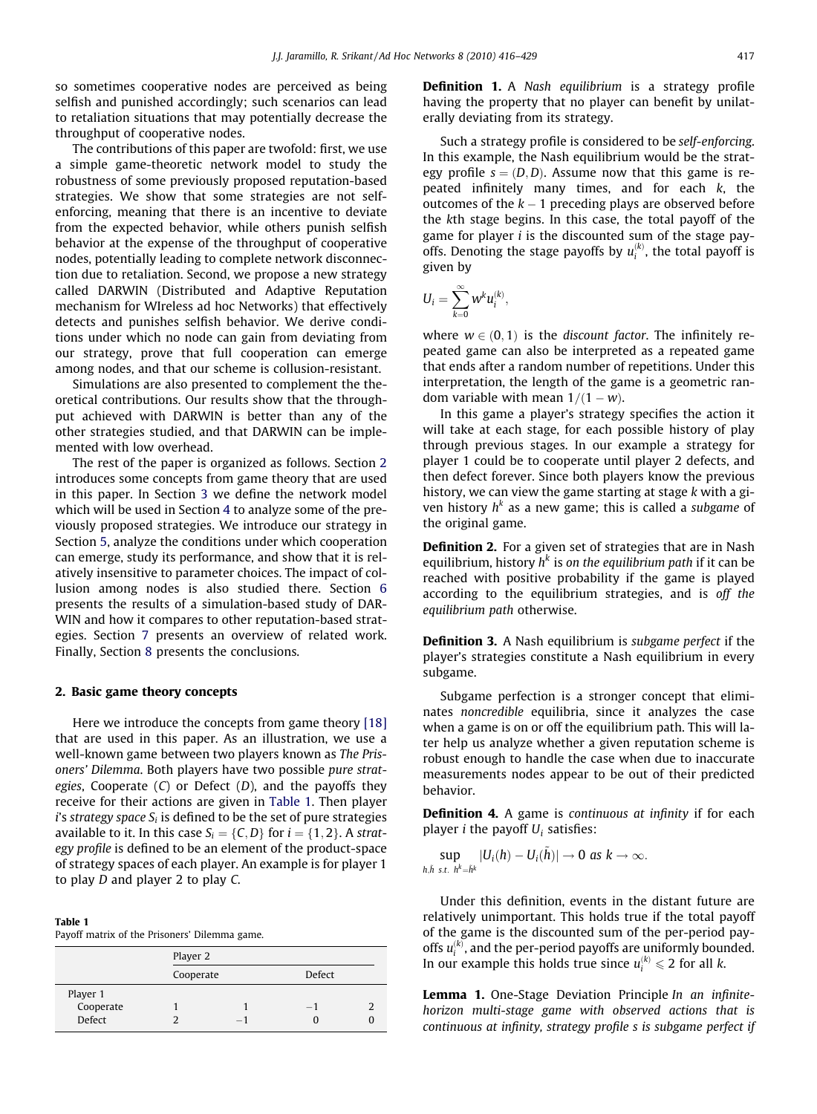so sometimes cooperative nodes are perceived as being selfish and punished accordingly; such scenarios can lead to retaliation situations that may potentially decrease the throughput of cooperative nodes.

The contributions of this paper are twofold: first, we use a simple game-theoretic network model to study the robustness of some previously proposed reputation-based strategies. We show that some strategies are not selfenforcing, meaning that there is an incentive to deviate from the expected behavior, while others punish selfish behavior at the expense of the throughput of cooperative nodes, potentially leading to complete network disconnection due to retaliation. Second, we propose a new strategy called DARWIN (Distributed and Adaptive Reputation mechanism for WIreless ad hoc Networks) that effectively detects and punishes selfish behavior. We derive conditions under which no node can gain from deviating from our strategy, prove that full cooperation can emerge among nodes, and that our scheme is collusion-resistant.

Simulations are also presented to complement the theoretical contributions. Our results show that the throughput achieved with DARWIN is better than any of the other strategies studied, and that DARWIN can be implemented with low overhead.

The rest of the paper is organized as follows. Section 2 introduces some concepts from game theory that are used in this paper. In Section 3 we define the network model which will be used in Section 4 to analyze some of the previously proposed strategies. We introduce our strategy in Section 5, analyze the conditions under which cooperation can emerge, study its performance, and show that it is relatively insensitive to parameter choices. The impact of collusion among nodes is also studied there. Section 6 presents the results of a simulation-based study of DAR-WIN and how it compares to other reputation-based strategies. Section 7 presents an overview of related work. Finally, Section 8 presents the conclusions.

#### 2. Basic game theory concepts

Here we introduce the concepts from game theory [\[18\]](#page--1-0) that are used in this paper. As an illustration, we use a well-known game between two players known as The Prisoners' Dilemma. Both players have two possible pure strategies, Cooperate  $(C)$  or Defect  $(D)$ , and the payoffs they receive for their actions are given in Table 1. Then player  $i$ 's strategy space  $S_i$  is defined to be the set of pure strategies available to it. In this case  $S_i = \{C, D\}$  for  $i = \{1, 2\}$ . A strategy profile is defined to be an element of the product-space of strategy spaces of each player. An example is for player 1 to play D and player 2 to play C.

### Table 1

Payoff matrix of the Prisoners' Dilemma game.

|           | Player 2  |      |        |  |
|-----------|-----------|------|--------|--|
|           | Cooperate |      | Defect |  |
| Player 1  |           |      |        |  |
| Cooperate |           |      | $-1$   |  |
| Defect    |           | $-1$ |        |  |

Definition 1. A Nash equilibrium is a strategy profile having the property that no player can benefit by unilaterally deviating from its strategy.

Such a strategy profile is considered to be self-enforcing. In this example, the Nash equilibrium would be the strategy profile  $s = (D, D)$ . Assume now that this game is repeated infinitely many times, and for each  $k$ , the outcomes of the  $k-1$  preceding plays are observed before the kth stage begins. In this case, the total payoff of the game for player  $i$  is the discounted sum of the stage payoffs. Denoting the stage payoffs by  $u_i^{(k)}$ , the total payoff is given by

$$
U_i=\sum_{k=0}^\infty w^k u_i^{(k)},
$$

where  $w \in (0, 1)$  is the discount factor. The infinitely repeated game can also be interpreted as a repeated game that ends after a random number of repetitions. Under this interpretation, the length of the game is a geometric random variable with mean  $1/(1 - w)$ .

In this game a player's strategy specifies the action it will take at each stage, for each possible history of play through previous stages. In our example a strategy for player 1 could be to cooperate until player 2 defects, and then defect forever. Since both players know the previous history, we can view the game starting at stage k with a given history  $h^k$  as a new game; this is called a subgame of the original game.

Definition 2. For a given set of strategies that are in Nash equilibrium, history  $h^k$  is on the equilibrium path if it can be reached with positive probability if the game is played according to the equilibrium strategies, and is off the equilibrium path otherwise.

Definition 3. A Nash equilibrium is subgame perfect if the player's strategies constitute a Nash equilibrium in every subgame.

Subgame perfection is a stronger concept that eliminates noncredible equilibria, since it analyzes the case when a game is on or off the equilibrium path. This will later help us analyze whether a given reputation scheme is robust enough to handle the case when due to inaccurate measurements nodes appear to be out of their predicted behavior.

Definition 4. A game is continuous at infinity if for each player  $i$  the payoff  $U_i$  satisfies:

$$
\sup_{h,\tilde{h}\text{ s.t. }h^k=\tilde{h}^k}|U_i(h)-U_i(\tilde{h})|\to 0 \text{ as } k\to\infty.
$$

Under this definition, events in the distant future are relatively unimportant. This holds true if the total payoff of the game is the discounted sum of the per-period payoffs  $u_i^{(k)}$ , and the per-period payoffs are uniformly bounded. In our example this holds true since  $u_i^{(k)} \leqslant 2$  for all k.

Lemma 1. One-Stage Deviation Principle In an infinitehorizon multi-stage game with observed actions that is continuous at infinity, strategy profile s is subgame perfect if